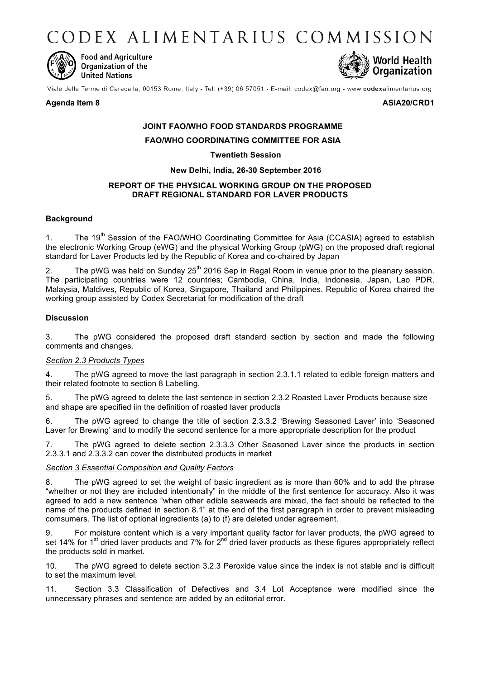CODEX ALIMENTARIUS COMMISSION



**Food and Agriculture** Organization of the **United Nations** 



Viale delle Terme di Caracalla, 00153 Rome, Italy - Tel: (+39) 06 57051 - E-mail: codex@fao.org - www.codexalimentarius.org

### **Agenda Item 8 ASIA20/CRD1**

# **JOINT FAO/WHO FOOD STANDARDS PROGRAMME**

**FAO/WHO COORDINATING COMMITTEE FOR ASIA**

# **Twentieth Session**

**New Delhi, India, 26-30 September 2016**

# **REPORT OF THE PHYSICAL WORKING GROUP ON THE PROPOSED DRAFT REGIONAL STANDARD FOR LAVER PRODUCTS**

# **Background**

1. The 19<sup>th</sup> Session of the FAO/WHO Coordinating Committee for Asia (CCASIA) agreed to establish the electronic Working Group (eWG) and the physical Working Group (pWG) on the proposed draft regional standard for Laver Products led by the Republic of Korea and co-chaired by Japan

2. The pWG was held on Sunday  $25<sup>th</sup>$  2016 Sep in Regal Room in venue prior to the pleanary session. The participating countries were 12 countries; Cambodia, China, India, Indonesia, Japan, Lao PDR, Malaysia, Maldives, Republic of Korea, Singapore, Thailand and Philippines. Republic of Korea chaired the working group assisted by Codex Secretariat for modification of the draft

# **Discussion**

3. The pWG considered the proposed draft standard section by section and made the following comments and changes.

# *Section 2.3 Products Types*

4. The pWG agreed to move the last paragraph in section 2.3.1.1 related to edible foreign matters and their related footnote to section 8 Labelling.

5. The pWG agreed to delete the last sentence in section 2.3.2 Roasted Laver Products because size and shape are specified iin the definition of roasted laver products

6. The pWG agreed to change the title of section 2.3.3.2 'Brewing Seasoned Laver' into 'Seasoned Laver for Brewing' and to modify the second sentence for a more appropriate description for the product

7. The pWG agreed to delete section 2.3.3.3 Other Seasoned Laver since the products in section 2.3.3.1 and 2.3.3.2 can cover the distributed products in market

#### *Section 3 Essential Composition and Quality Factors*

8. The pWG agreed to set the weight of basic ingredient as is more than 60% and to add the phrase "whether or not they are included intentionally" in the middle of the first sentence for accuracy. Also it was agreed to add a new sentence "when other edible seaweeds are mixed, the fact should be reflected to the name of the products defined in section 8.1" at the end of the first paragraph in order to prevent misleading comsumers. The list of optional ingredients (a) to (f) are deleted under agreement.

9. For moisture content which is a very important quality factor for laver products, the pWG agreed to set 14% for 1<sup>st</sup> dried laver products and 7% for 2<sup>nd</sup> dried laver products as these figures appropriately reflect the products sold in market.

10. The pWG agreed to delete section 3.2.3 Peroxide value since the index is not stable and is difficult to set the maximum level.

11. Section 3.3 Classification of Defectives and 3.4 Lot Acceptance were modified since the unnecessary phrases and sentence are added by an editorial error.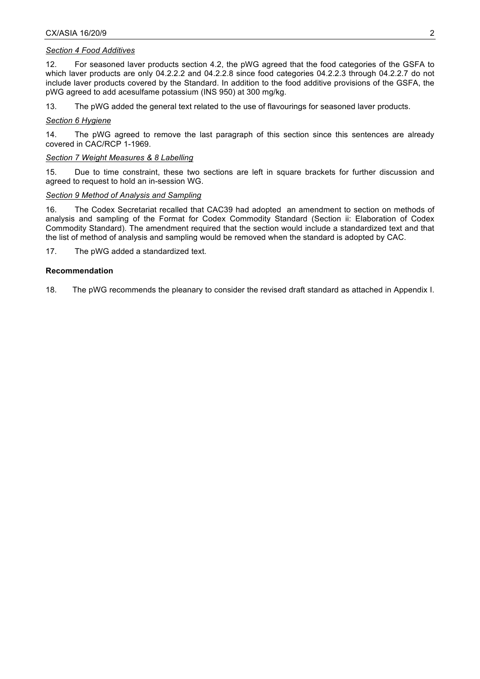### *Section 4 Food Additives*

12. For seasoned laver products section 4.2, the pWG agreed that the food categories of the GSFA to which laver products are only 04.2.2.2 and 04.2.2.8 since food categories 04.2.2.3 through 04.2.2.7 do not include laver products covered by the Standard. In addition to the food additive provisions of the GSFA, the pWG agreed to add acesulfame potassium (INS 950) at 300 mg/kg.

13. The pWG added the general text related to the use of flavourings for seasoned laver products.

### *Section 6 Hygiene*

14. The pWG agreed to remove the last paragraph of this section since this sentences are already covered in CAC/RCP 1-1969.

### *Section 7 Weight Measures & 8 Labelling*

15. Due to time constraint, these two sections are left in square brackets for further discussion and agreed to request to hold an in-session WG.

# *Section 9 Method of Analysis and Sampling*

16. The Codex Secretariat recalled that CAC39 had adopted an amendment to section on methods of analysis and sampling of the Format for Codex Commodity Standard (Section ii: Elaboration of Codex Commodity Standard). The amendment required that the section would include a standardized text and that the list of method of analysis and sampling would be removed when the standard is adopted by CAC.

17. The pWG added a standardized text.

# **Recommendation**

18. The pWG recommends the pleanary to consider the revised draft standard as attached in Appendix I.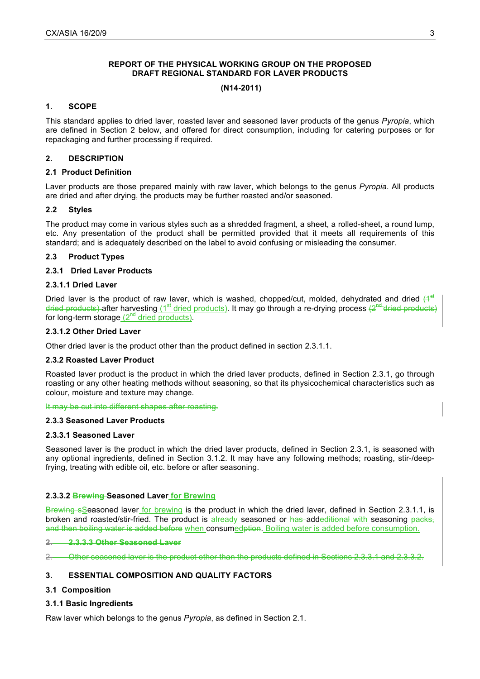# **REPORT OF THE PHYSICAL WORKING GROUP ON THE PROPOSED DRAFT REGIONAL STANDARD FOR LAVER PRODUCTS**

#### **(N14-2011)**

### **1. SCOPE**

This standard applies to dried laver, roasted laver and seasoned laver products of the genus *Pyropia*, which are defined in Section 2 below, and offered for direct consumption, including for catering purposes or for repackaging and further processing if required.

# **2. DESCRIPTION**

### **2.1 Product Definition**

Laver products are those prepared mainly with raw laver, which belongs to the genus *Pyropia*. All products are dried and after drying, the products may be further roasted and/or seasoned.

# **2.2 Styles**

The product may come in various styles such as a shredded fragment, a sheet, a rolled-sheet, a round lump, etc. Any presentation of the product shall be permitted provided that it meets all requirements of this standard; and is adequately described on the label to avoid confusing or misleading the consumer.

# **2.3 Product Types**

# **2.3.1 Dried Laver Products**

# **2.3.1.1 Dried Laver**

Dried laver is the product of raw laver, which is washed, chopped/cut, molded, dehydrated and dried  $(4^{st}$ dried products) after harvesting ( $1<sup>st</sup>$  dried products). It may go through a re-drying process  $(2<sup>nd</sup>$  dried products) for long-term storage  $(2^{nd}$  dried products).

#### **2.3.1.2 Other Dried Laver**

Other dried laver is the product other than the product defined in section 2.3.1.1.

#### **2.3.2 Roasted Laver Product**

Roasted laver product is the product in which the dried laver products, defined in Section 2.3.1, go through roasting or any other heating methods without seasoning, so that its physicochemical characteristics such as colour, moisture and texture may change.

#### It may be cut into different shapes after roasting.

#### **2.3.3 Seasoned Laver Products**

#### **2.3.3.1 Seasoned Laver**

Seasoned laver is the product in which the dried laver products, defined in Section 2.3.1, is seasoned with any optional ingredients, defined in Section 3.1.2. It may have any following methods; roasting, stir-/deepfrying, treating with edible oil, etc. before or after seasoning.

#### **2.3.3.2 Brewing Seasoned Laver for Brewing**

Brewing sSeasoned laver for brewing is the product in which the dried laver, defined in Section 2.3.1.1, is broken and roasted/stir-fried. The product is already seasoned or has addeditional with seasoning packs, and then boiling water is added before when consumedption. Boiling water is added before consumption.

#### **2. 2.3.3.3 Other Seasoned Laver**

2. Other seasoned laver is the product other than the products defined in Sections 2.3.3.1 and 2.3.3.2.

# **3. ESSENTIAL COMPOSITION AND QUALITY FACTORS**

#### **3.1 Composition**

#### **3.1.1 Basic Ingredients**

Raw laver which belongs to the genus *Pyropia*, as defined in Section 2.1.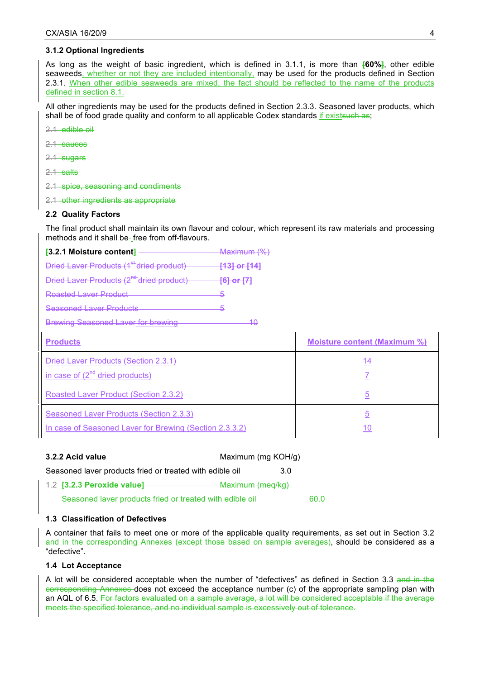#### **3.1.2 Optional Ingredients**

As long as the weight of basic ingredient, which is defined in 3.1.1, is more than **[60%]**, other edible seaweeds, whether or not they are included intentionally, may be used for the products defined in Section 2.3.1. When other edible seaweeds are mixed, the fact should be reflected to the name of the products defined in section 8.1.

All other ingredients may be used for the products defined in Section 2.3.3. Seasoned laver products, which shall be of food grade quality and conform to all applicable Codex standards if existsuch as;

2.1 edible oil

- 2.1 sauces
- 2.1 sugars
- 2.1 salts
- 2.1 spice, seasoning and condiments
- 2.1 other ingredients as appropriate

#### **2.2 Quality Factors**

The final product shall maintain its own flavour and colour, which represent its raw materials and processing methods and it shall be-free from off-flavours.

| $\overline{1}$ 3.2.1 Moisture content $\overline{1}$ – | Maximum (%)             |
|--------------------------------------------------------|-------------------------|
| Dried Laver Products (1 <sup>st</sup> dried product)   | <del>[13] or [14]</del> |
| Dried Laver Products (2 <sup>nd-</sup> dried product)  | <del>[6] or [7]</del>   |
| Roasted Laver Product                                  |                         |
| Seasoned Laver Products                                |                         |
| <b>Brewing Seasoned Laver for brewing</b>              |                         |

| <b>Products</b>                                         | <b>Moisture content (Maximum %)</b> |
|---------------------------------------------------------|-------------------------------------|
| Dried Laver Products (Section 2.3.1)                    | 14                                  |
| in case of $(2^{nd}$ dried products)                    |                                     |
| Roasted Laver Product (Section 2.3.2)                   | 5                                   |
| Seasoned Laver Products (Section 2.3.3)                 | 5                                   |
| In case of Seasoned Laver for Brewing (Section 2.3.3.2) |                                     |

| 3.2.2 Acid value                                         | Maximum (mg KOH/g) |              |
|----------------------------------------------------------|--------------------|--------------|
| Seasoned laver products fried or treated with edible oil |                    | 3 O          |
| 1.2 [3.2.3 Peroxide value]<br><b>Maximum (meq/kg)</b>    |                    |              |
| Seasoned laver products fried or treated with edible oil |                    | <del>,</del> |

#### **1.3 Classification of Defectives**

A container that fails to meet one or more of the applicable quality requirements, as set out in Section 3.2 and in the corresponding Annexes (except those based on sample averages), should be considered as a "defective".

#### **1.4 Lot Acceptance**

A lot will be considered acceptable when the number of "defectives" as defined in Section 3.3 and in the corresponding Annexes does not exceed the acceptance number (c) of the appropriate sampling plan with an AQL of 6.5. For factors evaluated on a sample average, a lot will be considered acceptable if the average meets the specified tolerance, and no individual sample is excessively out of tolerance.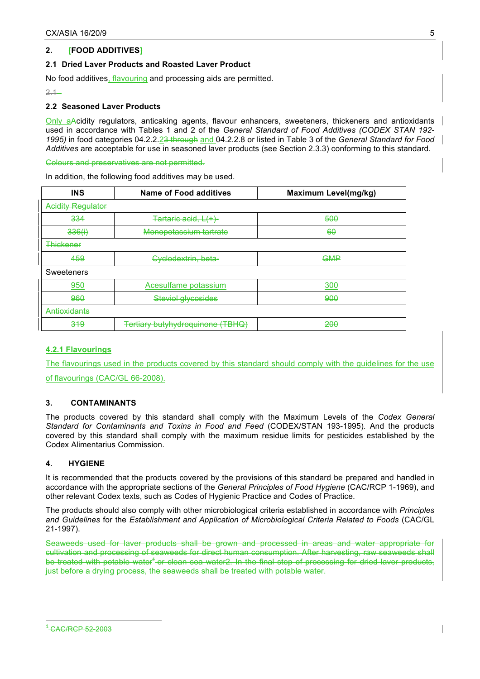# **2. [FOOD ADDITIVES]**

# **2.1 Dried Laver Products and Roasted Laver Product**

No food additives, flavouring and processing aids are permitted.

 $2.1 -$ 

# **2.2 Seasoned Laver Products**

Only aAcidity regulators, anticaking agents, flavour enhancers, sweeteners, thickeners and antioxidants used in accordance with Tables 1 and 2 of the *General Standard of Food Additives (CODEX STAN 192- 1995)* in food categories 04.2.2.23 through and 04.2.2.8 or listed in Table 3 of the *General Standard for Food Additives* are acceptable for use in seasoned laver products (see Section 2.3.3) conforming to this standard.

Colours and preservatives are not permitted.

In addition, the following food additives may be used.

| <b>INS</b>               | Name of Food additives                  | <b>Maximum Level(mg/kg)</b> |
|--------------------------|-----------------------------------------|-----------------------------|
| <b>Acidity Regulator</b> |                                         |                             |
| 334                      | Tartaric acid, L(+)                     | 500                         |
| 336(i)                   | Monopotassium tartrate                  | 60                          |
| <b>Thickener</b>         |                                         |                             |
| 459                      | Cyclodextrin, beta-                     | <b>GMP</b>                  |
| Sweeteners               |                                         |                             |
| 950                      | Acesulfame potassium                    | 300                         |
| 960                      | <b>Steviol glycosides</b>               | 900                         |
| Antioxidants             |                                         |                             |
| 319                      | <b>Tertiary butyhydroquinone (TBHQ)</b> | 200                         |

# **4.2.1 Flavourings**

The flavourings used in the products covered by this standard should comply with the guidelines for the use

of flavourings (CAC/GL 66-2008).

# **3. CONTAMINANTS**

The products covered by this standard shall comply with the Maximum Levels of the *Codex General Standard for Contaminants and Toxins in Food and Feed* (CODEX/STAN 193-1995). And the products covered by this standard shall comply with the maximum residue limits for pesticides established by the Codex Alimentarius Commission.

# **4. HYGIENE**

It is recommended that the products covered by the provisions of this standard be prepared and handled in accordance with the appropriate sections of the *General Principles of Food Hygiene* (CAC/RCP 1-1969), and other relevant Codex texts, such as Codes of Hygienic Practice and Codes of Practice.

The products should also comply with other microbiological criteria established in accordance with *Principles and Guidelines* for the *Establishment and Application of Microbiological Criteria Related to Foods* (CAC/GL 21-1997).

Seaweeds used for laver products shall be grown and processed in areas and water appropriate for cultivation and processing of seaweeds for direct human consumption. After harvesting, raw seaweeds shall be treated with potable water<sup>1</sup> or clean sea water2. In the final step of processing for dried laver products, just before a drying process, the seaweeds shall be treated with potable water.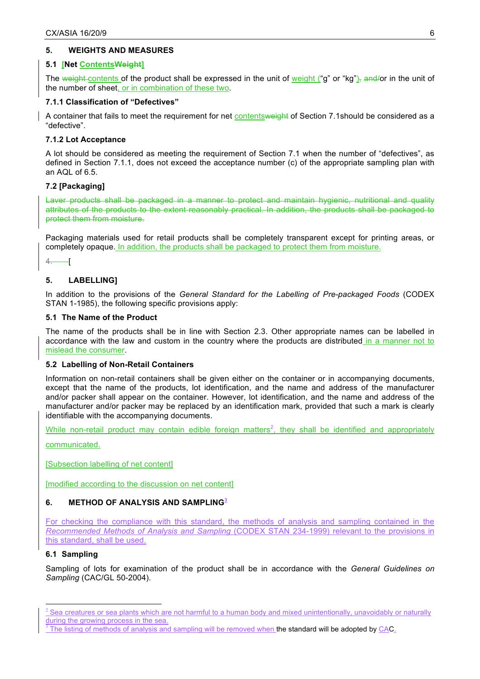# **5. WEIGHTS AND MEASURES**

#### **5.1 [Net ContentsWeight]**

The weight contents of the product shall be expressed in the unit of weight ("g" or "kg"), and/or in the unit of the number of sheet, or in combination of these two.

# **7.1.1 Classification of "Defectives"**

A container that fails to meet the requirement for net contentsweight of Section 7.1should be considered as a "defective".

# **7.1.2 Lot Acceptance**

A lot should be considered as meeting the requirement of Section 7.1 when the number of "defectives", as defined in Section 7.1.1, does not exceed the acceptance number (c) of the appropriate sampling plan with an AQL of 6.5.

# **7.2 [Packaging]**

Laver products shall be packaged in a manner to protect and maintain hygienic, nutritional and quality attributes of the products to the extent reasonably practical. In addition, the products shall be packaged to protect them from moisture.

Packaging materials used for retail products shall be completely transparent except for printing areas, or completely opaque. In addition, the products shall be packaged to protect them from moisture.

 $4.$  [

# **5. LABELLING]**

In addition to the provisions of the *General Standard for the Labelling of Pre-packaged Foods* (CODEX STAN 1-1985), the following specific provisions apply:

### **5.1 The Name of the Product**

The name of the products shall be in line with Section 2.3. Other appropriate names can be labelled in accordance with the law and custom in the country where the products are distributed in a manner not to mislead the consumer.

#### **5.2 Labelling of Non-Retail Containers**

Information on non-retail containers shall be given either on the container or in accompanying documents, except that the name of the products, lot identification, and the name and address of the manufacturer and/or packer shall appear on the container. However, lot identification, and the name and address of the manufacturer and/or packer may be replaced by an identification mark, provided that such a mark is clearly identifiable with the accompanying documents.

While non-retail product may contain edible foreign matters<sup>2</sup>, they shall be identified and appropriately

communicated.

[Subsection labelling of net content]

[modified according to the discussion on net content]

# **6. METHOD OF ANALYSIS AND SAMPLING<sup>3</sup>**

For checking the compliance with this standard, the methods of analysis and sampling contained in the *Recommended Methods of Analysis and Sampling* (CODEX STAN 234-1999) relevant to the provisions in this standard, shall be used.

# **6.1 Sampling**

Sampling of lots for examination of the product shall be in accordance with the *General Guidelines on Sampling* (CAC/GL 50-2004).

 $2$  Sea creatures or sea plants which are not harmful to a human body and mixed unintentionally, unavoidably or naturally during the growing process in the sea.<br> $\frac{3}{1}$ The listing of methods of analysis and sampling will be removed when the standard will be adopted by CAC.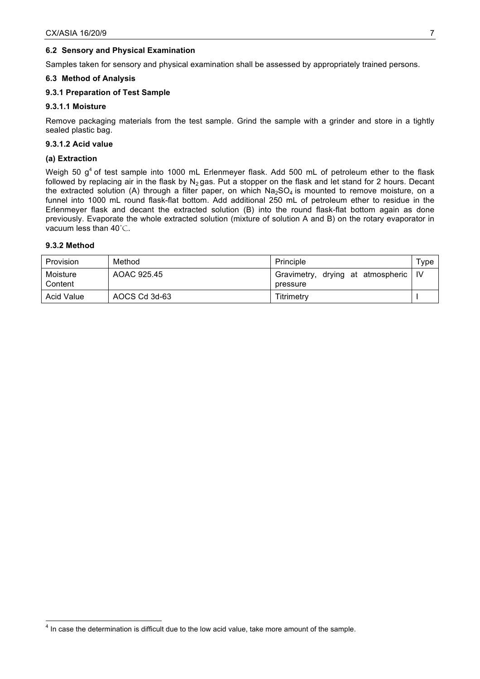# **6.2 Sensory and Physical Examination**

Samples taken for sensory and physical examination shall be assessed by appropriately trained persons.

#### **6.3 Method of Analysis**

# **9.3.1 Preparation of Test Sample**

### **9.3.1.1 Moisture**

Remove packaging materials from the test sample. Grind the sample with a grinder and store in a tightly sealed plastic bag.

### **9.3.1.2 Acid value**

# **(a) Extraction**

Weigh 50  $g<sup>4</sup>$  of test sample into 1000 mL Erlenmeyer flask. Add 500 mL of petroleum ether to the flask followed by replacing air in the flask by  $N_2$  gas. Put a stopper on the flask and let stand for 2 hours. Decant the extracted solution (A) through a filter paper, on which  $Na<sub>2</sub>SO<sub>4</sub>$  is mounted to remove moisture, on a funnel into 1000 mL round flask-flat bottom. Add additional 250 mL of petroleum ether to residue in the Erlenmeyer flask and decant the extracted solution (B) into the round flask-flat bottom again as done previously. Evaporate the whole extracted solution (mixture of solution A and B) on the rotary evaporator in vacuum less than 40℃.

### **9.3.2 Method**

| Provision           | Method        | Principle                                          | $\tau_\mathsf{VDE}$ |
|---------------------|---------------|----------------------------------------------------|---------------------|
| Moisture<br>Content | AOAC 925.45   | Gravimetry, drying at atmospheric   IV<br>pressure |                     |
| Acid Value          | AOCS Cd 3d-63 | Titrimetrv                                         |                     |

<sup>————————————————————&</sup>lt;br><sup>4</sup> In case the determination is difficult due to the low acid value, take more amount of the sample.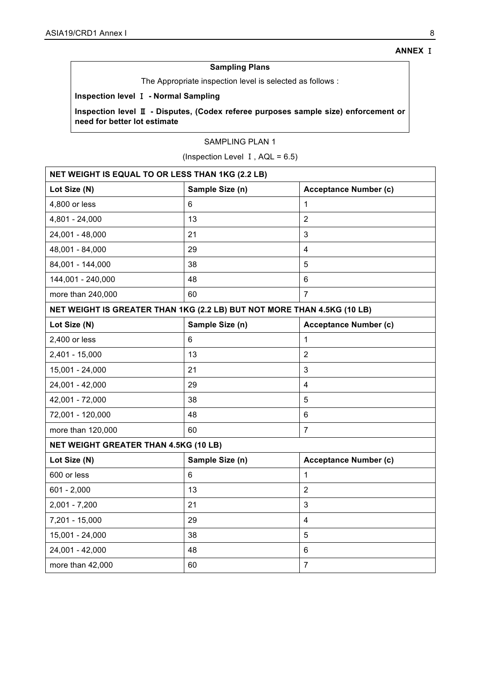# **Sampling Plans**

The Appropriate inspection level is selected as follows :

# **Inspection level** Ⅰ **- Normal Sampling**

**Inspection level** Ⅱ **- Disputes, (Codex referee purposes sample size) enforcement or need for better lot estimate**

# SAMPLING PLAN 1

(Inspection Level  $I$ , AQL = 6.5)

| <b>NET WEIGHT IS EQUAL TO OR LESS THAN 1KG (2.2 LB)</b>                 |                 |                              |  |
|-------------------------------------------------------------------------|-----------------|------------------------------|--|
| Lot Size (N)                                                            | Sample Size (n) | <b>Acceptance Number (c)</b> |  |
| 4,800 or less                                                           | 6               | 1                            |  |
| 4,801 - 24,000                                                          | 13              | $\overline{2}$               |  |
| 24,001 - 48,000                                                         | 21              | 3                            |  |
| 48,001 - 84,000                                                         | 29              | 4                            |  |
| 84,001 - 144,000                                                        | 38              | 5                            |  |
| 144,001 - 240,000                                                       | 48              | 6                            |  |
| more than 240,000                                                       | 60              | $\overline{7}$               |  |
| NET WEIGHT IS GREATER THAN 1KG (2.2 LB) BUT NOT MORE THAN 4.5KG (10 LB) |                 |                              |  |
| Lot Size (N)                                                            | Sample Size (n) | <b>Acceptance Number (c)</b> |  |
| 2,400 or less                                                           | 6               | 1                            |  |
| $2,401 - 15,000$                                                        | 13              | $\overline{2}$               |  |
| 15,001 - 24,000                                                         | 21              | 3                            |  |
| 24,001 - 42,000                                                         | 29              | $\overline{4}$               |  |
| 42,001 - 72,000                                                         | 38              | 5                            |  |
| 72,001 - 120,000                                                        | 48              | 6                            |  |
| more than 120,000                                                       | 60              | $\overline{7}$               |  |
| NET WEIGHT GREATER THAN 4.5KG (10 LB)                                   |                 |                              |  |
| Lot Size (N)                                                            | Sample Size (n) | <b>Acceptance Number (c)</b> |  |
| 600 or less                                                             | 6               | $\mathbf 1$                  |  |
| $601 - 2,000$                                                           | 13              | $\overline{2}$               |  |
| $2,001 - 7,200$                                                         | 21              | 3                            |  |
| 7,201 - 15,000                                                          | 29              | $\overline{\mathbf{4}}$      |  |
| 15,001 - 24,000                                                         | 38              | 5                            |  |
| 24,001 - 42,000                                                         | 48              | 6                            |  |
| more than 42,000                                                        | 60              | $\overline{7}$               |  |